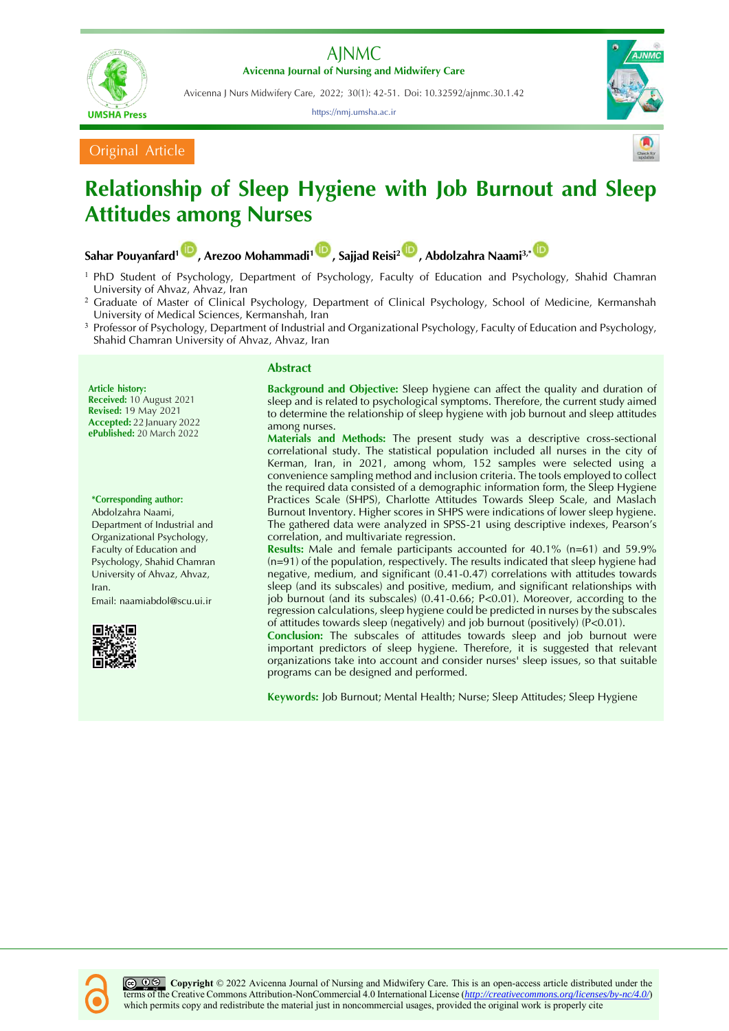

**Avicenna Journal of Nursing and Midwifery Care**

**UMSHA Press** 

Avicenna J Nurs Midwifery Care, 2022; 30(1): 42-51. Doi: 10.32592/ajnmc.30.1.42

https://nmj.umsha.ac.ir



Original Article

# **Relationship of Sleep Hygiene with Job Burnout and Sleep Attitudes among Nurses**

**Sahar Pouyanfard[1](https://orcid.org/0000-0001-9410-5580) , Arezoo Mohammadi[1](https://orcid.org/0000-0003-3452-4235) , Sajjad Reisi[2](https://orcid.org/0000-0002-2385-8283) , Abdolzahra Naami3,[\\*](https://orcid.org/0000-0002-4378-2650)**

- <sup>1</sup> PhD Student of Psychology, Department of Psychology, Faculty of Education and Psychology, Shahid Chamran University of Ahvaz, Ahvaz, Iran
- <sup>2</sup> Graduate of Master of Clinical Psychology, Department of Clinical Psychology, School of Medicine, Kermanshah University of Medical Sciences, Kermanshah, Iran
- <sup>3</sup> Professor of Psychology, Department of Industrial and Organizational Psychology, Faculty of Education and Psychology, Shahid Chamran University of Ahvaz, Ahvaz, Iran

**Article history: Received:** 10 August 2021 **Revised:** 19 May 2021 **Accepted:** 22 January 2022 **ePublished:** 20 March 2022

**\*Corresponding author:**

Abdolzahra Naami, Department of Industrial and Organizational Psychology, Faculty of Education and Psychology, Shahid Chamran University of Ahvaz, Ahvaz, Iran.

Email: [naamiabdol@scu.ui.ir](mailto:naamiabdol@scu.ui.ir)



## **Abstract**

**Background and Objective:** Sleep hygiene can affect the quality and duration of sleep and is related to psychological symptoms. Therefore, the current study aimed to determine the relationship of sleep hygiene with job burnout and sleep attitudes among nurses.

**Materials and Methods:** The present study was a descriptive cross-sectional correlational study. The statistical population included all nurses in the city of Kerman, Iran, in 2021, among whom, 152 samples were selected using a convenience sampling method and inclusion criteria. The tools employed to collect the required data consisted of a demographic information form, the Sleep Hygiene Practices Scale (SHPS), Charlotte Attitudes Towards Sleep Scale, and Maslach Burnout Inventory. Higher scores in SHPS were indications of lower sleep hygiene. The gathered data were analyzed in SPSS-21 using descriptive indexes, Pearson's correlation, and multivariate regression.

**Results:** Male and female participants accounted for 40.1% (n=61) and 59.9% (n=91) of the population, respectively. The results indicated that sleep hygiene had negative, medium, and significant (0.41-0.47) correlations with attitudes towards sleep (and its subscales) and positive, medium, and significant relationships with job burnout (and its subscales) (0.41-0.66; P<0.01). Moreover, according to the regression calculations, sleep hygiene could be predicted in nurses by the subscales of attitudes towards sleep (negatively) and job burnout (positively) (P<0.01).

**Conclusion:** The subscales of attitudes towards sleep and job burnout were important predictors of sleep hygiene. Therefore, it is suggested that relevant organizations take into account and consider nurses' sleep issues, so that suitable programs can be designed and performed.

**Keywords:** Job Burnout; Mental Health; Nurse; Sleep Attitudes; Sleep Hygiene

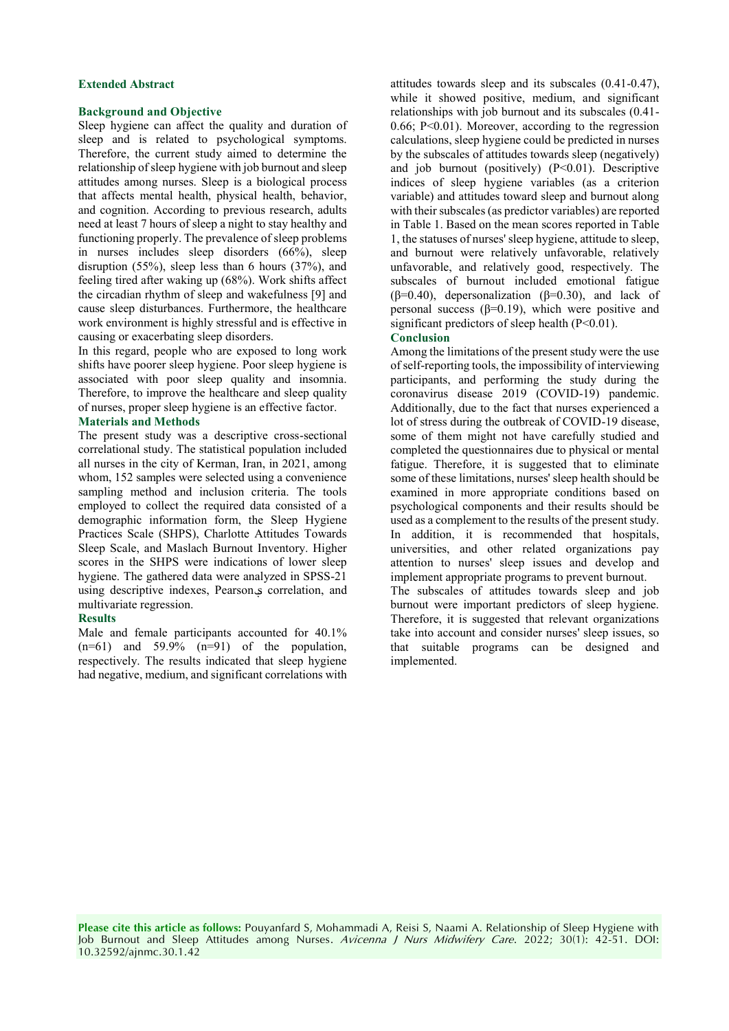#### **Extended Abstract**

### **Background and Objective**

Sleep hygiene can affect the quality and duration of sleep and is related to psychological symptoms. Therefore, the current study aimed to determine the relationship of sleep hygiene with job burnout and sleep attitudes among nurses. Sleep is a biological process that affects mental health, physical health, behavior, and cognition. According to previous research, adults need at least 7 hours of sleep a night to stay healthy and functioning properly. The prevalence of sleep problems in nurses includes sleep disorders (66%), sleep disruption (55%), sleep less than 6 hours (37%), and feeling tired after waking up (68%). Work shifts affect the circadian rhythm of sleep and wakefulness [9] and cause sleep disturbances. Furthermore, the healthcare work environment is highly stressful and is effective in causing or exacerbating sleep disorders.

In this regard, people who are exposed to long work shifts have poorer sleep hygiene. Poor sleep hygiene is associated with poor sleep quality and insomnia. Therefore, to improve the healthcare and sleep quality of nurses, proper sleep hygiene is an effective factor.

## **Materials and Methods**

The present study was a descriptive cross-sectional correlational study. The statistical population included all nurses in the city of Kerman, Iran, in 2021, among whom, 152 samples were selected using a convenience sampling method and inclusion criteria. The tools employed to collect the required data consisted of a demographic information form, the Sleep Hygiene Practices Scale (SHPS), Charlotte Attitudes Towards Sleep Scale, and Maslach Burnout Inventory. Higher scores in the SHPS were indications of lower sleep hygiene. The gathered data were analyzed in SPSS-21 using descriptive indexes, Pearson<sub>s</sub> correlation, and multivariate regression.

#### **Results**

Male and female participants accounted for 40.1%  $(n=61)$  and 59.9%  $(n=91)$  of the population, respectively. The results indicated that sleep hygiene had negative, medium, and significant correlations with attitudes towards sleep and its subscales (0.41-0.47), while it showed positive, medium, and significant relationships with job burnout and its subscales (0.41- 0.66; P<0.01). Moreover, according to the regression calculations, sleep hygiene could be predicted in nurses by the subscales of attitudes towards sleep (negatively) and job burnout (positively)  $(P<0.01)$ . Descriptive indices of sleep hygiene variables (as a criterion variable) and attitudes toward sleep and burnout along with their subscales (as predictor variables) are reported in Table 1. Based on the mean scores reported in Table 1, the statuses of nurses' sleep hygiene, attitude to sleep, and burnout were relatively unfavorable, relatively unfavorable, and relatively good, respectively. The subscales of burnout included emotional fatigue ( $\beta$ =0.40), depersonalization ( $\beta$ =0.30), and lack of personal success (β=0.19), which were positive and significant predictors of sleep health  $(P<0.01)$ .

#### **Conclusion**

Among the limitations of the present study were the use of self-reporting tools, the impossibility of interviewing participants, and performing the study during the coronavirus disease 2019 (COVID-19) pandemic. Additionally, due to the fact that nurses experienced a lot of stress during the outbreak of COVID-19 disease, some of them might not have carefully studied and completed the questionnaires due to physical or mental fatigue. Therefore, it is suggested that to eliminate some of these limitations, nurses' sleep health should be examined in more appropriate conditions based on psychological components and their results should be used as a complement to the results of the present study. In addition, it is recommended that hospitals, universities, and other related organizations pay attention to nurses' sleep issues and develop and implement appropriate programs to prevent burnout. The subscales of attitudes towards sleep and job burnout were important predictors of sleep hygiene. Therefore, it is suggested that relevant organizations take into account and consider nurses' sleep issues, so that suitable programs can be designed and implemented.

**Please cite this article as follows:** Pouyanfard S, Mohammadi A, Reisi S, Naami A. Relationship of Sleep Hygiene with Job Burnout and Sleep Attitudes among Nurses. Avicenna J Nurs Midwifery Care. 2022; 30(1): 42-51. DOI: 10.32592/ajnmc.30.1.42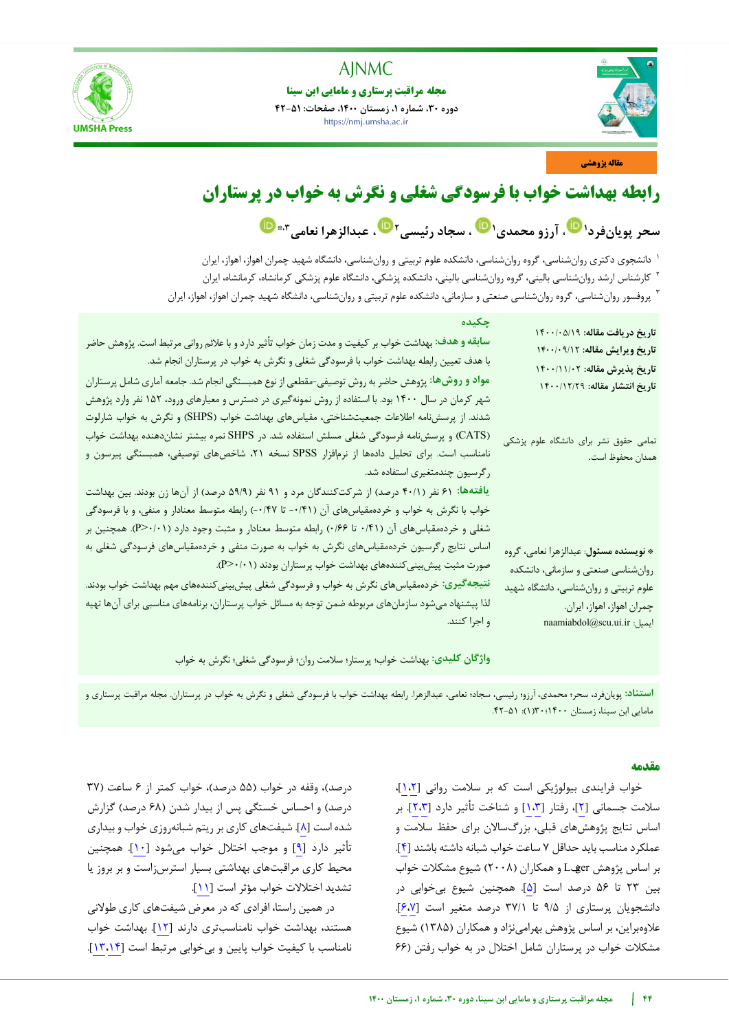

# **مجله مراقبت پرستاری و مامایی ابن سینا**

**دوره ،30 شماره ،1 زمستان ،1400 صفحات: 42-51** https://nmj.umsha.ac.ir



## **مقاله پژوهشی**

# **رابطه بهداشت خواب با فرسودگی شغلی و نگرش به خواب در پرستاران**

**فردسحر پویان ، عبدالزهرا نعامی [1](https://orcid.org/0000-0001-9410-5580) ، آرزو محمدی<sup>1</sup> ، سجاد رئیسی<sup>2</sup> \*،3**

دانشجوی دکتری روانشناسی، گروه روانشناسی، دانشکده علوم تربیتی و روانشناسی، دانشگاه شهید چمران اهواز، اهواز، ایران <sup>1</sup> کارشناس ارشد روانشناسی بالینی، گروه روانشناسی بالینی، دانشکده پزشکی، دانشگاه علوم پزشکی کرمانشاه، کرمانشاه، ایران <sup>2</sup> پروفسور روانشناسی، گروه روانشناسی صنعتی و سازمانی، دانشکده علوم تربیتی و روانشناسی، دانشگاه شهید چمران اهواز، اهواز، ایران <sup>3</sup>

| سابقه و هدف: بهداشت خواب بر کیفیت و مدت زمان خواب تأثیر دارد و با علائم روانی مرتبط است. پژوهش حاضر<br>با هدف تعیین رابطه بهداشت خواب با فرسودگی شغلی و نگرش به خواب در پرستاران انجام شد.<br>مواد و روش&ا: پژوهش حاضر به روش توصیفی-مقطعی از نوع همبستگی انجام شد. جامعه آماری شامل پرستاران<br>شهر کرمان در سال ۱۴۰۰ بود. با استفاده از روش نمونهگیری در دسترس و معیارهای ورود، ۱۵۲ نفر وارد پژوهش<br>شدند. از پرسشنامه اطلاعات جمعیتشناختی، مقیاسهای بهداشت خواب (SHPS) و نگرش به خواب شارلوت<br>(CATS) و پرسشنامه فرسودگی شغلی مسلش استفاده شد. در SHPS نمره بیشتر نشاندهنده بهداشت خواب | تاريخ دريافت مقاله: ١٤٠٠/٠٥/١٩<br>تاريخ ويرايش مقاله: ١٤٠٠/٠٩/١٢<br>تاريخ پذيرش مقاله: ١۴٠٠/١١/٠٢<br>تاريخ انتشار مقاله: ١٤٠٠/١٢/٢٩<br>تمامی حقوق نشر برای دانشگاه علوم پزشکی       |
|----------------------------------------------------------------------------------------------------------------------------------------------------------------------------------------------------------------------------------------------------------------------------------------------------------------------------------------------------------------------------------------------------------------------------------------------------------------------------------------------------------------------------------------------------------------------------------------------|-------------------------------------------------------------------------------------------------------------------------------------------------------------------------------------|
| نامناسب است. برای تحلیل دادهها از نرم فزار SPSS نسخه ۲۱، شاخصهای توصیفی، همبستگی پیرسون و<br>رگرسیون چندمتغیری استفاده شد.<br>یافتهها: ۶۱ نفر (۴۰/۱ درصد) از شرکتکنندگان مرد و ۹۱ نفر (۵۹/۹ درصد) از آنها زن بودند. بین بهداشت<br>خواب با نگرش به خواب و خردهمقیاسهای آن (۰/۴۱- تا ۰/۴۷-) رابطه متوسط معنادار و منفی، و با فرسودگی<br>شغلی و خردهمقیاسهای آن (۰/۴۱ تا ۰/۶۶) رابطه متوسط معنادار و مثبت وجود دارد (۱۰/۰-P). همچنین بر                                                                                                                                                         | همدان محفوظ است.                                                                                                                                                                    |
| اساس نتایج رگرسیون خردهمقیاسهای نگرش به خواب به صورت منفی و خردهمقیاسهای فرسودگی شغلی به<br>صورت مثبت پیش بینی کنندههای بهداشت خواب پرستاران بودند (P>٠/٠١).<br>نتیجه <i>گ</i> یری: خردهمقیاسهای نگرش به خواب و فرسودگی شغلی پیش بینی <i>کن</i> ندههای مهم بهداشت خواب بودند.<br>لذا پیشنهاد میشود سازمانهای مربوطه ضمن توجه به مسائل خواب پرستاران، برنامههای مناسبی برای آنها تهیه<br>و اجرا کنند.                                                                                                                                                                                         | * نویسنده مسئول: عبدالزهرا نعامی، گروه<br>روان شناسی صنعتی و سازمانی، دانشکده<br>علوم تربیتی و روانشناسی، دانشگاه شهید<br>چمران اهواز، اهواز، ايران.<br>naamiabdol@scu.ui.ir :ایمیل |

**واژگان کلیدی:** بهداشت خواب؛ پرستار؛ سالمت روان؛ فرسودگی شغلی؛ نگرش به خواب

**استناد:** پویانفرد، سحر؛ محمدی، آرزو؛ رئیسی، سجاد؛ نعامی، عبدالزهرا. رابطه بهداشت خواب با فرسودگی شغلی و نگرش به خواب در پرستاران. مجله مراقبت پرستاری و مامایی ابن سینا، زمستان 1400؛30)1(: .42-51

# **مقدمه**

خواب فرایندی بیولوژیکی است که بر سالمت روانی [[1،2](#page-7-0)]، سالمت جسمانی [[2](#page-7-0)]، رفتار [[1،3](#page-7-1)] و شناخت تأثیر دارد [[2](#page-7-0)[،3](#page-7-1)]. بر اساس نتایج پژوهشهای قبلی، بزرگساالن برای حفظ سالمت و عملکرد مناسب باید حداقل 7 ساعت خواب شبانه داشته باشند [[4](#page-7-2)]. بر اساس پژوهش Léger و همکاران )2008( شیوع مشکالت خواب بین 23 تا 56 درصد است [[5](#page-7-3)]. همچنین شیوع بیخوابی در دانشجویان پرستاری از 9/5 تا 37/1 درصد متغیر است [[6](#page-7-5)[،7](#page-7-4)]. عالوهبراین، بر اساس پژوهش بهرامینژاد و همکاران )1385( شیوع مشکالت خواب در پرستاران شامل اختالل در به خواب رفتن )66

درصد)، وقفه در خواب (۵۵ درصد)، خواب کمتر از ۶ ساعت (۳۷ درصد) و احساس خستگی پس از بیدار شدن (۶۸ درصد) گزارش شده است [[8](#page-7-6)]. شیفتهای کاری برریتم شبانهروزی خواب و بیداری تأثیر دارد [[9](#page-7-7)] و موجب اختالل خواب میشود [[10](#page-7-8)]. همچنین محیط کاری مراقبتهای بهداشتی بسیار استرسزاست و بر بروز یا تشدید اختالالت خواب مؤثر است [[11](#page-7-9)].

در همین راستا، افرادی که در معرض شیفتهای کاری طوالنی هستند، بهداشت خواب نامناسبتری دارند [[12](#page-7-10)]. بهداشت خواب نامناسب با کیفیت خواب پایین و بیخوابی مرتبط است [[13](#page-7-12)[،14](#page-7-11)].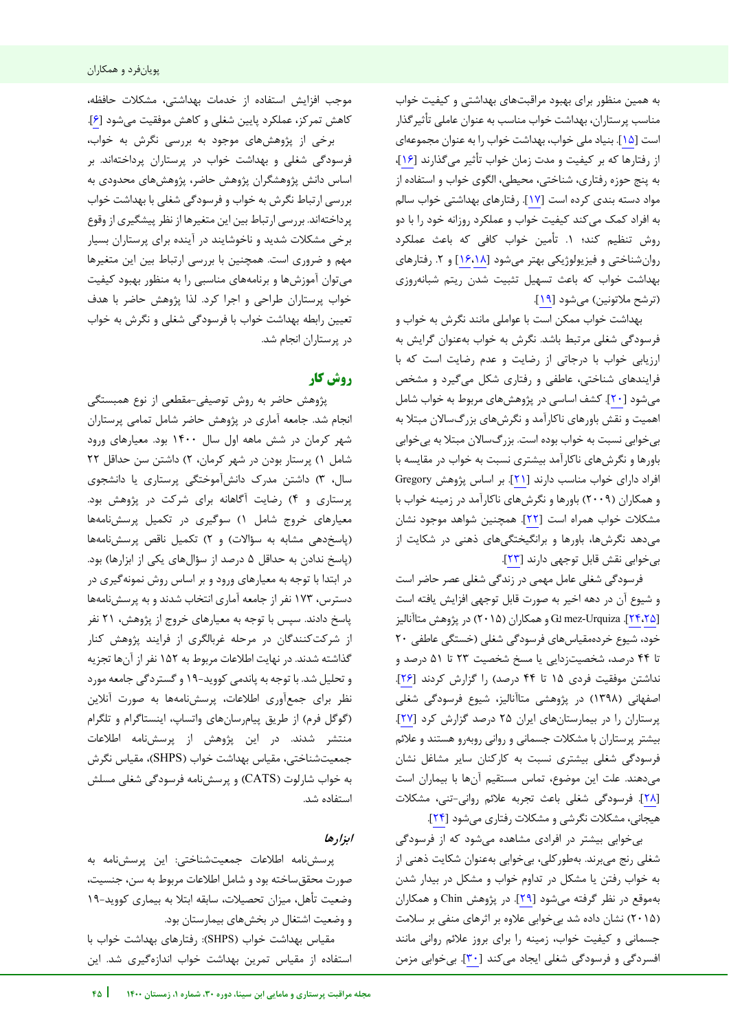به همین منظور برای بهبود مراقبتهای بهداشتی و کیفیت خواب مناسب پرستاران، بهداشت خواب مناسب به عنوان عاملی تأثیرگذار است [[15](#page-7-13)]. بنیاد ملی خواب، بهداشت خواب را به عنوان مجموعهای از رفتارها که بر کیفیت و مدت زمان خواب تأثیر میگذارند [[16](#page-8-0)]، به پنج حوزه رفتاری، شناختی، محیطی، الگوی خواب و استفاده از مواد دسته بندی کرده است [[17](#page-8-1)]. رفتارهای بهداشتی خواب سالم به افراد کمک میکند کیفیت خواب و عملکرد روزانه خود را با دو روش تنظیم کند؛ .1 تأمین خواب کافی که باعث عملکرد روان شناختی و فیزیولوژیکی بهتر میشود [۱۶،۱۸] و ۲. رفتارهای بهداشت خواب که باعث تسهیل تثبیت شدن ریتم شبانهروزی )ترشح مالتونین( میشود [[19](#page-8-3)].

بهداشت خواب ممکن است با عواملی مانند نگرش به خواب و فرسودگی شغلی مرتبط باشد. نگرش به خواب به به عنوان گرایش ارزیابی خواب با درجاتی از رضایت و عدم رضایت است که با فرایندهای شناختی، عاطفی و رفتاری شکل میگیرد و مشخص میشود [[20](#page-8-4)]. کشف اساسی در پژوهشهای مربوط به خواب شامل اهمیت و نقش باورهای ناکارآمد و نگرشهای بزرگساالن مبتال به بیخوابی نسبت به خواب بوده است. بزرگساالن مبتال به بیخوابی باورها و نگرشهای ناکارآمد بیشتری نسبت به خواب در مقایسه با افراد دارای خواب مناسب دارند [[21](#page-8-5)]. بر اساس پژوهش Gregory و همکاران )2009( باورها و نگرشهای ناکارآمد در زمینه خواب با مشکالت خواب همراه است [[22](#page-8-6)]. همچنین شواهد موجود نشان میدهد نگرشها، باورها و برانگیختگیهای ذهنی در شکایت از بیخوابی نقش قابل توجهی دارند [[23](#page-8-7)].

فرسودگی شغلی عامل مهمی در زندگی شغلی عصر حاضر است و شیوع آن در دهه اخیر به صورت قابل توجهی افزایش یافته است [[24](#page-8-9)[،25](#page-8-8)]. Urquiza-mez Gó و همکاران )2015( در پژوهش متاآنالیز خود، شیوع خردهمقیاسهای فرسودگی شغلی )خستگی عاطفی 20 تا 44 درصد، شخصیتزدایی یا مسخ شخصیت 23 تا 51 درصد و نداشتن موفقیت فردی ١۵ تا ۴۴ درصد) را گزارش کردند [٢۶]. اصفهانی )1398( در پژوهشی متاآنالیز، شیوع فرسودگی شغلی پرستاران را در بیمارستانهای ایران 25 درصد گزارش کرد [[27](#page-8-11)]. بیشتر پرستاران با مشکالت جسمانی و روانی روبهرو هستند و عالئم فرسودگی شغلی بیشتری نسبت به کارکنان سایر مشاغل نشان میدهند. علت این موضوع، تماس مستقیم آنها با بیماران است [[28](#page-8-12)]. فرسودگی شغلی باعث تجربه عالئم روانی-تنی، مشکالت هیجانی، مشکالت نگرشی و مشکالت رفتاری میشود [[24](#page-8-9)].

بیخوابی بیشتر در افرادی مشاهده میشود که از فرسودگی شغلی رنج میبرند. بهطورکلی، بیخوابی بهعنوان شکایت ذهنی از به خواب رفتن یا مشکل در تداوم خواب و مشکل در بیدار شدن بهموقع در نظر گرفته میشود [[29](#page-8-13)]. در پژوهش Chin و همکاران )2015( نشان داده شد بیخوابی عالوه بر اثرهای منفی بر سالمت جسمانی و کیفیت خواب، زمینه را برای بروز عالئم روانی مانند افسردگی و فرسودگی شغلی ایجاد میکند [[30](#page-8-14)]. بیخوابی مزمن

j

موجب افزایش استفاده از خدمات بهداشتی، مشکالت حافظه، کاهش تمرکز، عملکرد پایین شغلی و کاهش موفقیت میشود [[6](#page-7-5)]. برخی از پژوهشهای موجود به بررسی نگرش به خواب، فرسودگی شغلی و بهداشت خواب در پرستاران پرداختهاند. بر اساس دانش پژوهشگران پژوهش حاضر، پژوهشهای محدودی به بررسی ارتباط نگرش به خواب و فرسودگی شغلی با بهداشت خواب پرداختهاند. بررسی ارتباط بین این متغیرها از نظر پیشگیری از وقوع برخی مشکالت شدید و ناخوشایند در آینده برای پرستاران بسیار مهم و ضروری است. همچنین با بررسی ارتباط بین این متغیرها میتوان آموزشها و برنامههای مناسبی را به منظور بهبود کیفیت خواب پرستاران طراحی و اجرا کرد. لذا پژوهش حاضر با هدف تعیین رابطه بهداشت خواب با فرسودگی شغلی و نگرش به خواب در پرستاران انجام شد.

# **کار روش**

پژوهش حاضر به روش توصیفی-مقطعی از نوع همبستگی انجام شد. جامعه آماری در پژوهش حاضر شامل تمامی پرستاران شهر کرمان در شش ماهه اول سال 1400 بود. معیارهای ورود شامل ۱) پرستار بودن در شهر کرمان، ۲) داشتن سن حداقل ۲۲ سال، 3( داشتن مدرک دانشآموختگی پرستاری یا دانشجوی پرستاری و 4( رضایت آگاهانه برای شرکت در پژوهش بود. معیارهای خروج شامل 1( سوگیری در تکمیل پرسشنامهها )پاسخدهی مشابه به سؤاالت( و 2( تکمیل ناقص پرسشنامهها )پاسخ ندادن به حداقل 5 درصد از سؤالهای یکی از ابزارها( بود. در ابتدا با توجه به معیارهای ورود و بر اساس روش نمونهگیری در دسترس، 173 نفر از جامعه آماری انتخاب شدند و به پرسشنامهها پاسخ دادند. سپس با توجه به معیارهای خروج از پژوهش، 21 نفر از شرکتکنندگان در مرحله غربالگری از فرایند پژوهش کنار گذاشته شدند. در نهایت اطالعات مربوط به 152 نفر از آنها تجزیه و تحلیل شد. با توجه به پاندمی کووید19- و گستردگی جامعه مورد نظر برای جمعآوری اطالعات، پرسشنامهها به صورت آنالین (گوگل فرم) از طریق پیام سانهای واتساپ، اینستاگرام و تلگرام منتشر شدند. در این پژوهش از پرسشنامه اطالعات جمعیتشناختی، مقیاس بهداشت خواب )SHPS)، مقیاس نگرش به خواب شارلوت )CATS )و پرسشنامه فرسودگی شغلی مسلش استفاده شد.

# **ابزارها**

پرسشنامه اطالعات جمعیتشناختی: این پرسش نامه به صورت محققساخته بود و شامل اطالعات مربوط به سن، جنسیت، وضعیت تأهل، میزان تحصیالت، سابقه ابتال به بیماری کووید19- و وضعیت اشتغال در بخشهای بیمارستان بود.

مقیاس بهداشت خواب )SHPS): رفتارهای بهداشت خواب با استفاده از مقیاس تمرین بهداشت خواب اندازهگیری شد. این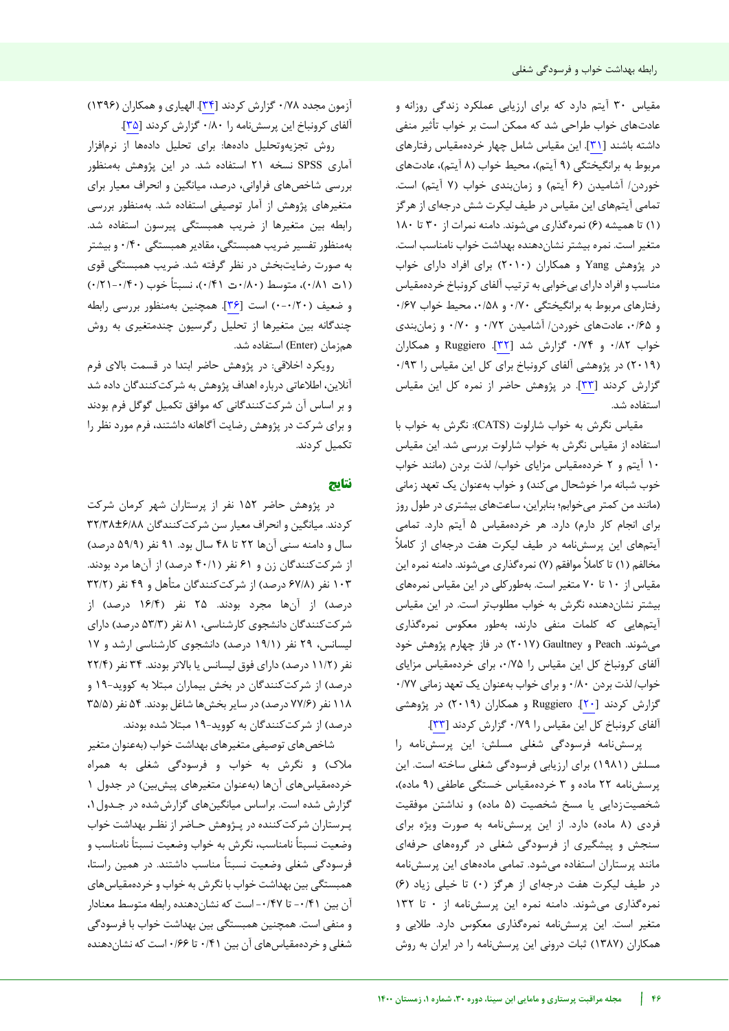مقیاس 30 آیتم دارد که برای ارزیابی عملکرد زندگی روزانه و عادتهای خواب طراحی شد که ممکن است بر خواب تأثیر منفی داشته باشند [[31](#page-8-15)]. این مقیاس شامل چهار خردهمقیاس رفتارهای مربوط به برانگیختگی (۹ آیتم)، محیط خواب (۸ آیتم)، عادتهای خوردن/ آشامیدن (۶ آیتم) و زمانبندی خواب (۷ آیتم) است. تمامی آیتمهای این مقیاس در طیف لیکرت شش درجهای از هرگز )1( تا همیشه )6( نمرهگذاری میشوند. دامنه نمرات از 30 تا 180 متغیر است. نمره بیشتر نشاندهنده بهداشت خواب نامناسب است. در پژوهش Yang و همکاران )2010( برای افراد دارای خواب مناسب و افراد دارای بیخوابی به ترتیب آلفای کرونباخ خردهمقیاس رفتارهای مربوط به برانگیختگی 0/70 و ،0/58 محیط خواب 0/67 و ۰/۶۵ عادتهای خوردن/ آشامیدن ۰/۷۲ و ۰/۷۰ و زمانبندی خواب 0/82 و 0/74 گزارش شد [[32](#page-8-16)]. Ruggiero و همکاران )2019( در پژوهشی آلفای کرونباخ برای کل این مقیاس را 0/93 گزارش کردند [[33](#page-8-17)]. در پژوهش حاضر از نمره کل این مقیاس استفاده شد.

مقیاس نگرش به خواب شارلوت )CATS): نگرش به خواب با استفاده از مقیاس نگرش به خواب شارلوت بررسی شد. این مقیاس 10 آیتم و 2 خردهمقیاس مزایای خواب/ لذت بردن )مانند خواب خوب شبانه مرا خوشحال میکند) و خواب بهعنوان یک تعهد زمانی )مانند من کمتر میخوابم؛ بنابراین، ساعتهای بیشتری در طول روز برای انجام کار دارم( دارد. هر خردهمقیاس 5 آیتم دارد. تمامی آیتمهای این پرسشنامه در طیف لیکرت هفت درجه ای از کامال مخالفم (١) تا کاملاً موافقم (٧) نمرهگذاری میشوند. دامنه نمره این مقیاس از 10 تا 70 متغیر است. بهطورکلی در این مقیاس نمرههای بیشتر نشاندهنده نگرش به خواب مطلوبتر است. در این مقیاس آیتمهایی که کلمات منفی دارند، بهطور معکوس نمرهگذاری میشوند. Peach و Gaultney( 2017 )در فاز چهارم پژوهش خود آلفای کرونباخ کل این مقیاس را ،0/75 برای خردهمقیاس مزایای خواب/ لذت بردن 0/80 و برای خواب بهعنوان یک تعهد زمانی 0/77 گزارش کردند [[20](#page-8-4)]. Ruggiero و همکاران )2019( در پژوهشی آلفای کرونباخ کل این مقیاس را 0/79 گزارش کردند [[33](#page-8-17)].

پرسشنامه فرسودگی شغلی مسلش: این پرسشنامه را مسلش )1981( برای ارزیابی فرسودگی شغلی ساخته است. این پرسشنامه ٢٢ ماده و ٣ خردهمقیاس خستگی عاطفی (٩ ماده)، شخصیتزدایی یا مسخ شخصیت (۵ ماده) و نداشتن موفقیت فردی (٨ ماده) دارد. از این پرسشنامه به صورت ویژه برای سنجش و پیشگیری از فرسودگی شغلی در گروههای حرفهای مانند پرستاران استفاده میشود. تمامی مادههای این پرسشنامه در طیف لیکرت هفت درجهای از هرگز (۰) تا خیلی زیاد (۶) نمرهگذاری میشوند. دامنه نمره این پرسشنامه از 0 تا 132 متغیر است. این پرسشنامه نمرهگذاری معکوس دارد. طالیی و همکاران )1387( ثبات درونی این پرسشنامه را در ایران به روش

آزمون مجدد 0/78 گزارش کردند [[34](#page-8-18)]. الهیاری و همکاران )1396( آلفای کرونباخ این پرسشنامه را 0/80 گزارش کردند [[35](#page-8-19)].

روش تجزیهوتحلیل دادهها: برای تحلیل دادهها از نرمافزار آماری SPSS نسخه 21 استفاده شد. در این پژوهش بهمنظور بررسی شاخصهای فراوانی، درصد، میانگین و انحراف معیار برای متغیرهای پژوهش از آمار توصیفی استفاده شد. بهمنظور بررسی رابطه بین متغیرها از ضریب همبستگی پیرسون استفاده شد. بهمنظور تفسیر ضریب همبستگی، مقادیر همبستگی 0/40 و بیشتر به صورت رضایتبخش در نظر گرفته شد. ضریب همبستگی قوی (۱– ۰/۲۱)، متوسط (۸۰/۰ت ۰/۴۱)، نسبتاً خوب (۰/۴۰–۰/۲۱) و ضعیف )0-0/20( است [[36](#page-8-20)]. همچنین بهمنظور بررسی رابطه چندگانه بین متغیرها از تحلیل رگرسیون چندمتغیری به روش همزمان )Enter )استفاده شد.

رویکرد اخالقی: در پژوهش حاضر ابتدا در قسمت باالی فرم آنالین، اطالعاتی درباره اهداف پژوهش به شرکتکنندگان داده شد و بر اساس آن شرکتکنندگانی که موافق تکمیل گوگل فرم بودند و برای شرکت در پژوهش رضایت آگاهانه داشتند، فرم مورد نظر را تکمیل کردند.

## **نتایج**

در پژوهش حاضر 152 نفر از پرستاران شهر کرمان شرکت کردند. میانگین و انحراف معیار سن شرکتکنندگان 32/38±6/88 سال و دامنه سنی آنها 22 تا 48 سال بود. 91 نفر )59/9 درصد( از شرکتکنندگان زن و ۶۱ نفر (۴۰/۱ درصد) از آنها مرد بودند. ۱۰۳ نفر (۶۷/۸ درصد) از شرکتکنندگان متأهل و ۴۹ نفر ( ۳۲/۲ درصد) از آنها مجرد بودند. ۲۵ نفر (۱۶/۴ درصد) از شرکتکنندگان دانشجوی کارشناسی، 81 نفر )53/3 درصد( دارای لیسانس، ۲۹ نفر (۱۹/۱ درصد) دانشجوی کارشناسی ارشد و ۱۷ نفر (۱۱/۲ درصد) دارای فوق لیسانس یا بالاتر بودند. ۳۴ نفر (۲۲/۴ درصد) از شرکتکنندگان در بخش بیماران مبتلا به کووید-۱۹ و ۱۱۸ نفر (۷۷/۶ درصد) در سایر بخشها شاغل بودند. ۵۴ نفر (۳۵/۵ درصد) از شرکتکنندگان به کووید-۱۹ مبتلا شده بودند.

شاخصهای توصیفی متغیرهای بهداشت خواب )به عنوان متغیر مالک( و نگرش به خواب و فرسودگی شغلی به همراه خردهمقیاسهای آنها (بهعنوان متغیرهای پیش بین) در جدول ۱ گزارش شده است. براساس میانگینهای گزارش شده در جـدول ۰٫ پـرستاران شرکتکننده در پـژوهش حـاضر از نظـر بهداشت خواب وضعیت نسبتا نامناسب، نگرش به خواب وضعیت نسبتا نامناسب و فرسودگی شغلی وضعیت نسبتا مناسب داشتند. در همین راستا، همبستگی بین بهداشت خواب با نگرش به خواب و خردهمقیاسهای آن بین ۰/۴۱ تا ۰/۴۷- است که نشاندهنده رابطه متوسط معنادار و منفی است. همچنین همبستگی بین بهداشت خواب با فرسودگی شغلی و خردهمقیاسهای آن بین 0/41 تا 0/66 است که نشاندهنده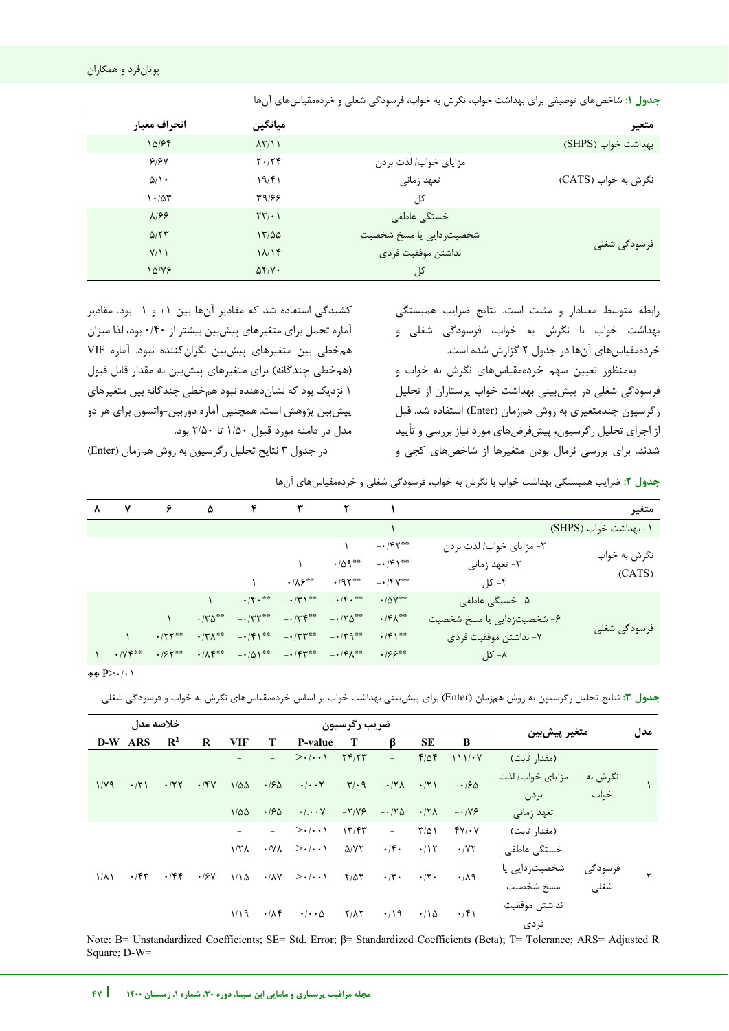| انحراف معيار              | ميانگين                              |                         | متغير               |
|---------------------------|--------------------------------------|-------------------------|---------------------|
| 10184                     | $\Lambda \Upsilon / \Lambda$         |                         | بهداشت خواب (SHPS)  |
| 9/8V                      | $Y \cdot / Y$                        | مزاياي خواب/ لذت بردن   |                     |
| $\Delta/\Lambda$ .        | 19/F1                                | تعهد زماني              | نگرش به خواب (CATS) |
| $1.40$ ٣                  | 33189                                | کل                      |                     |
| $\lambda$ /۶۶             | $\Upsilon \Upsilon / \cdot \Upsilon$ | خستگی عاطفی             |                     |
| $\Delta/\Upsilon\Upsilon$ | 17/20                                | شخصیتزدایی یا مسخ شخصیت |                     |
| Y/11                      | 11/15                                | نداشتن موفقيت فردى      | فرسودگی شغلی        |
| 10/19                     | $\Delta f/V$ .                       | کل                      |                     |

**جدول :1** شاخصهای توصیفی برای بهداشت خواب، نگرش به خواب، فرسودگی شغلی و خردهمقیاسهای آنها

رابطه متوسط معنادار و مثبت است. نتایج ضرایب همبستگی بهداشت خواب با نگرش به خواب، فرسودگی شغلی و خردهمقیاسهای آنها در جدول ۲ گزارش شده است.

بهمنظور تعیین سهم خردهمقیاسهای نگرش به خواب و فرسودگی شغلی در پیشبینی بهداشت خواب پرستاران از تحلیل رگرسیون چندمتغیری به روش همزمان )Enter )استفاده شد. قبل از اجرای تحلیل رگرسیون، پیشفرضهای مورد نیاز بررسی و تأیید شدند. برای بررسی نرمال بودن متغیرها از شاخصهای کجی و

j

کشیدگی استفاده شد که مقادیر آنها بین +1 و -1 بود. مقادیر آماره تحمل برای متغیرهای پیشبین بیشتر از 0/40 بود، لذا میزان همخطی بین متغیرهای پیشبین نگرانکننده نبود. آماره VIF (همخطی چندگانه) برای متغیرهای پیشبین به مقدار قابل قبول 1 نزدیک بود که نشاندهنده نبود همخطی چندگانه بین متغیرهای پیشبین پژوهش است. همچنین آماره دوربین-واتسون برای هر دو مدل در دامنه مورد قبول 1/50 تا 2/50 بود.

در جدول 3 نتایج تحلیل رگرسیون به روش همزمان )Enter )

**جدول :2** ضرایب همبستگی بهداشت خواب با نگرش به خواب، فرسودگی شغلی و خردهمقیاسهای آنها

| متغير                  |                            |                                       |                                                   | $\mathsf{F}$ $\qquad \qquad \mathsf{Y}$ $\qquad \qquad \mathsf{Y}$                                |                           | ۵                                          | $\epsilon$    | $\mathsf{v}$           | $\lambda$ |
|------------------------|----------------------------|---------------------------------------|---------------------------------------------------|---------------------------------------------------------------------------------------------------|---------------------------|--------------------------------------------|---------------|------------------------|-----------|
| ۱- بهداشت خواب (SHPS)  |                            |                                       |                                                   |                                                                                                   |                           |                                            |               |                        |           |
|                        | ۲- مزایای خواب/ لذت بردن   | $ \cdot$ / $\uparrow$ $\uparrow$ $**$ |                                                   |                                                                                                   |                           |                                            |               |                        |           |
| نگرش به خواب<br>(CATS) | ۳- تعهد زمانی              | $ \cdot$ / $\uparrow$ \**             | $\cdot$ / $\Delta$ 9 $^{\ast\ast}$                |                                                                                                   |                           |                                            |               |                        |           |
|                        | ۴– کل                      | $ \cdot$ / $\uparrow$ $\vee$ **       | $\cdot$ /95**                                     | $\cdot$ / $\Lambda$ ۶**                                                                           |                           |                                            |               |                        |           |
|                        | ۵- خستگی عاطفی             | $\cdot$ / $\Delta V$ **               | $-\cdot$ /۳) <sup>**</sup> $-\cdot$ /۴ $\cdot$ ** |                                                                                                   | $-1/\mathfrak{F}\cdot$ ** |                                            |               |                        |           |
|                        | ۶- شخصیتزدایی یا مسخ شخصیت | $\cdot$ /۴ $\Lambda$ **               | $-175$ $-170$                                     |                                                                                                   | $ \cdot$ /۳۲ **           | $\cdot$ / $\uparrow$ $\uparrow$ $\uparrow$ |               |                        |           |
| فرسودگی شغلی           | ٧- نداشتن موفقيت فردي      | $\cdot$ /۴۱ <sup>**</sup>             |                                                   | $\cdot$ /٣ $\wedge$ ** - $\cdot$ /۴ $\wedge$ ** - $\cdot$ /٣ $\wedge$ ** - $\cdot$ /٣ $\wedge$ ** |                           |                                            | $\cdot$ /٢٢** |                        |           |
|                        | ۸− کل                      | $\cdot$ 199**                         |                                                   | $\cdot/\Lambda f^{***}$ $- \cdot/\Delta Y^{**}$ $- \cdot/FY^{**}$ $- \cdot/F\Lambda^{**}$         |                           |                                            | $.155***$     | $\cdot$ / $\gamma$ ۴** |           |

\*\* P>·/· \

**جدول :3** نتایج تحلیل رگرسیون به روش همزمان )Enter )برای پیشبینی بهداشت خواب بر اساس خردهمقیاسهای نگرش به خواب و فرسودگی شغلی

| خلاصه مدل   |             |                |          |                  | ضريب رگرسيون               | متغير پيشبين                  |                                 | مدل                      |                      |                             |                            |                 |  |
|-------------|-------------|----------------|----------|------------------|----------------------------|-------------------------------|---------------------------------|--------------------------|----------------------|-----------------------------|----------------------------|-----------------|--|
|             | D-W ARS     | $\mathbb{R}^2$ | $\bf{R}$ | <b>VIF</b>       | T                          | P-value                       | Т                               | ß                        | <b>SE</b>            | B                           |                            |                 |  |
|             |             |                |          |                  | $\overline{\phantom{0}}$   | $>>($                         | Yf/Y                            | $ \,$                    | $F/\Delta F$         | $111/\cdot Y$               | (مقدار ثابت)               |                 |  |
| 1/Y9        | $\cdot$ /٢١ | .777           | .79      | $1/\Delta\Delta$ | .190                       | $\cdot/\cdot\cdot$ $\Upsilon$ | $-\mathbf{r}' \cdot \mathbf{q}$ | $- \cdot 7\lambda$       | $\cdot$ /٢١          | $-190$                      | مزاياي خواب/ لذت<br>بردن   | نگرش به<br>خواب |  |
|             |             |                |          | $1/\Delta\Delta$ | .190                       | $\cdot$ / $\cdot\cdot$ Y      | $-Y/Y$                          | $-17\Delta$              | $\cdot$ /٢ $\Lambda$ | $-1.199$                    | تعهد زماني                 |                 |  |
|             |             |                |          |                  | $\sim$                     | $> \cdot / \cdot \cdot$       | 1777                            | $\overline{\phantom{a}}$ | $T/\Delta$           | $fV/\cdot V$                | (مقدار ثابت)               |                 |  |
|             |             |                |          | $1/7\lambda$     | $\cdot$ /Y $\wedge$        | $>\cdot/\cdot\cdot$           | $\Delta$ /YY                    | $\cdot$ /۴ $\cdot$       | .115                 | $\cdot$ / $\gamma$ $\gamma$ | خستگی عاطفی                |                 |  |
| $1/\lambda$ | $\cdot$ /۴۳ | .75            | .19V     | 1/10             | $\cdot$ / $\lambda$ $\vee$ | $>\cdot/\cdot\cdot$           | $f/\Delta Y$                    | $\cdot$ /۳ $\cdot$       | $\cdot$ /٢ $\cdot$   | $\cdot/\lambda$ 9           | شخصیتزدایی یا<br>مسخ شخصيت | فرسودگی<br>شغلى |  |
|             |             |                |          | 1/19             | $\cdot/\lambda f$          | $\cdot$ / $\cdot$ $\Delta$    | $Y/\lambda Y$                   | $\cdot$ /19              | $\cdot/\Delta$       | $\cdot$ /۴۱                 | نداشتن موفقيت<br>فردى      |                 |  |

Note: B= Unstandardized Coefficients; SE= Std. Error; β= Standardized Coefficients (Beta); T= Tolerance; ARS= Adjusted R Square; D-W=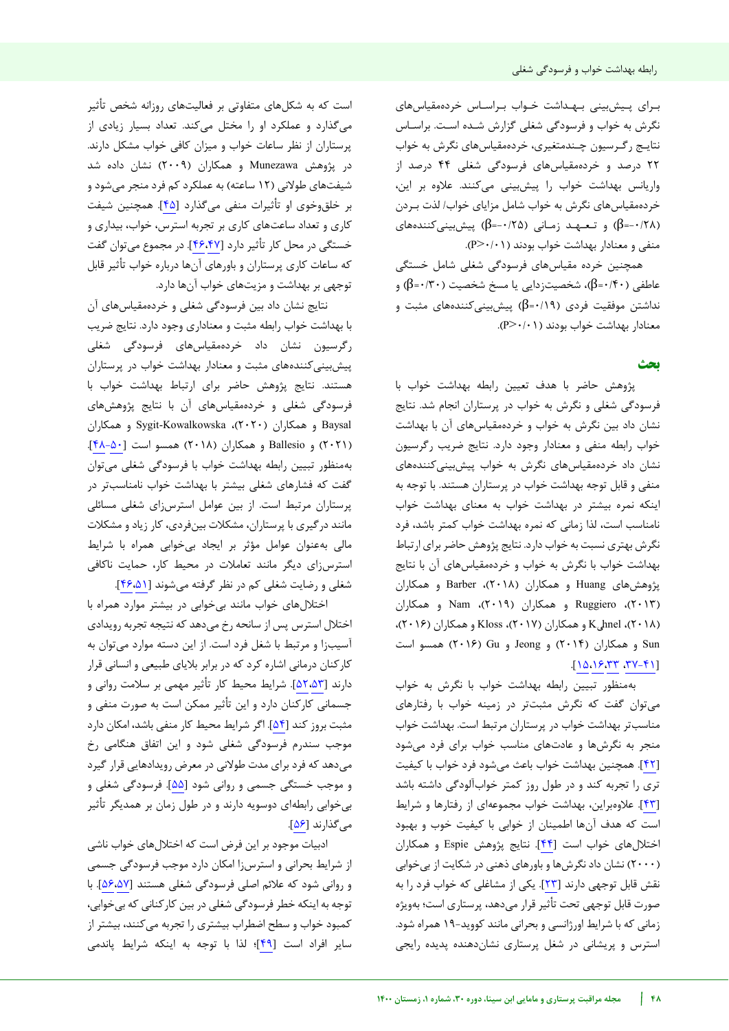بـرای پـیشبینی بـهـداشت خـواب بـراسـاس خردهمقیاسهای نگرش به خواب و فرسودگی شغلی گزارش شـده اسـت. براسـاس نتایـج رگـرسیون چـندمتغیری، خردهمقیاسهای نگرش به خواب 22 درصد و خردهمقیاسهای فرسودگی شغلی 44 درصد از واریانس بهداشت خواب را پیشبینی می کنند. علاوه بر این، خردهمقیاسهای نگرش به خواب شامل مزایای خواب/ لذت بـردن )-0/28=β )و تـعـهـد زمـانی )-0/25=β )پیشبینیکنندههای  $(P > \cdot / \cdot)$  منفی و معنادار بهداشت خواب بودند (

همچنین خرده مقیاسهای فرسودگی شغلی شامل خستگی عاطفی (۶۰/۴۰=β)، شخصیتزدایی یا مسخ شخصیت (۲۰ $\beta$ =۰/۴۰) و نداشتن موفقیت فردی )0/19=β )پیشبینیکنندههای مثبت و معنادار بهداشت خواب بودند )0/01<P).

## **بحث**

پژوهش حاضر با هدف تعیین رابطه بهداشت خواب با فرسودگی شغلی و نگرش به خواب در پرستاران انجام شد. نتایج نشان داد بین نگرش به خواب و خردهمقیاسهای آن با بهداشت خواب رابطه منفی و معنادار وجود دارد. نتایج ضریب رگرسیون نشان داد خردهمقیاسهای نگرش به خواب پیشبینی کنندههای منفی و قابل توجه بهداشت خواب در پرستاران هستند. با توجه به اینکه نمره بیشتر در بهداشت خواب به معنای بهداشت خواب نامناسب است، لذا زمانی که نمره بهداشت خواب کمتر باشد، فرد نگرش بهتری نسبت به خواب دارد. نتایج پژوهش حاضر برای ارتباط بهداشت خواب با نگرش به خواب و خردهمقیاسهای آن با نتایج های پژوهش Huang و همکاران )2018(، Barber و همکاران )2013(، Ruggiero و همکاران )2019(، Nam و همکاران )2018(، Kühnel و همکاران )2017(، Kloss و همکاران )2016(، Sun و همکاران )2014( و Jeong و Gu( 2016 )همسو است .[[15](#page-7-13)[،16](#page-8-0)[،33](#page-8-17) [، 37-41](#page-8-21)]

بهمنظور تبیین رابطه بهداشت خواب با نگرش به خواب میتوان گفت که نگرش مثبتتر در زمینه خواب با رفتارهای مناسبتر بهداشت خواب در پرستاران مرتبط است. بهداشت خواب منجر به نگرشها و عادتهای مناسب خواب برای فرد میشود [[42](#page-8-22)]. همچنین بهداشت خواب باعث میشود فرد خواب با کیفیت تری را تجربه کند و در طول روز کمتر خوابآلودگی داشته باشد [[43](#page-8-23)]. عالوهبراین، بهداشت خواب مجموعهای از رفتارها و شرایط است که هدف آنها اطمینان از خوابی با کیفیت خوب و بهبود اختاللهای خواب است [[44](#page-8-24)]. نتایج پژوهش Espie و همکاران )2000( نشان داد نگرشها و باورهای ذهنی در شکایت از بیخوابی نقش قابل توجهی دارند [[23](#page-8-7)]. یکی از مشاغلی که خواب فرد را به صورت قابل توجهی تحت تأثیر قرار میدهد، پرستاری است؛ بهویژه زمانی که با شرایط اورژانسی و بحرانی مانند کووید19- همراه شود. استرس و پریشانی در شغل پرستاری نشاندهنده پدیده رایجی

است که به شکلهای متفاوتی بر فعالیتهای روزانه شخص تأثیر میگذارد و عملکرد او را مختل میکند. تعداد بسیار زیادی از پرستاران از نظر ساعات خواب و میزان کافی خواب مشکل دارند. در پژوهش Munezawa و همکاران )2009( نشان داده شد شیفتهای طوالنی )12 ساعته( به عملکرد کم فرد منجر میشود و بر خلقوخوی او تأثیرات منفی میگذارد [[45](#page-8-25)]. همچنین شیفت کاری و تعداد ساعتهای کاری بر تجربه استرس، خواب، بیداری و خستگی در محل کار تأثیر دارد [[46](#page-8-27)[،47](#page-8-26)]. در مجموع میتوان گفت که ساعات کاری پرستاران و باورهای آنها درباره خواب تأثیر قابل توجهی بر بهداشت و مزیتهای خواب آنها دارد.

نتایج نشان داد بین فرسودگی شغلی و خردهمقیاس های آن با بهداشت خواب رابطه مثبت و معناداري وجود دارد. نتایج ضریب رگرسیون نشان داد خردهمقیاسهای فرسودگی شغلی پیشبینیکنندههای مثبت و معنادار بهداشت خواب در پرستاران .هستند نتایج پژوهش حاضر برای ارتباط بهداشت خواب با فرسودگی شغلی و خردهمقیاسهای آن با نتایج پژوهشهای Baysal و همکاران )2020(، Kowalkowska-Sygit و همکاران )2021( و Ballesio و همکاران )2018( همسو است [ [05](#page-8-28) [48-](#page-8-28)]. بهمنظور تبیین رابطه بهداشت خواب با فرسودگی شغلی میتوان گفت که فشارهای شغلی بیشتر با بهداشت خواب نامناسبتر در پرستاران مرتبط است. از بین عوامل استرسزای شغلی مسائلی مانند درگیری با پرستاران، مشکالت بینفردی، کار زیاد و مشکالت مالی بهعنوان عوامل مؤثر بر ایجاد بیخوابی همراه با شرایط استرسزای دیگر مانند تعامالت در محیط کار، حمایت ناکافی شغلی و رضایت شغلی کم در نظر گرفته میشوند [[46](#page-8-27)[،51](#page-9-0)].

اختاللهای خواب مانند بیخوابی در بیشتر موارد همراه با اختالل استرس پس از سانحه رخ میدهد که نتیجه تجربه رویدادی آسیبزا و مرتبط با شغل فرد است. از این دسته موارد میتوان به کارکنان درمانی اشاره کرد که در برابر بالیای طبیعی و انسانی قرار دارند [[52](#page-9-2)[،53](#page-9-1)]. شرایط محیط کار تأثیر مهمی بر سالمت روانی و جسمانی کارکنان دارد و این تأثیر ممکن است به صورت منفی و مثبت بروز کند [[54](#page-9-3)]. اگر شرایط محیط کار منفی باشد، امکان دارد موجب سندرم فرسودگی شغلی شود و این اتفاق هنگامی رخ میدهد که فرد برای مدت طوالنی در معرض رویدادهایی قرار گیرد و موجب خستگی جسمی و روانی شود [[55](#page-9-4)]. فرسودگی شغلی و بیخوابی رابطهای دوسویه دارند و در طول زمان بر همدیگر تأثیر میگذارند [[56](#page-9-5)].

ادبیات موجود بر این فرض است که اختاللهای خواب ناشی از شرایط بحرانی و استرسزا امکان دارد موجب فرسودگی جسمی و روانی شود که عالئم اصلی فرسودگی شغلی هستند [[56](#page-9-5)[،57](#page-9-6)]. با توجه به اینکه خطر فرسودگی شغلی در بین کارکنانی که بیخوابی، کمبود خواب و سطح اضطراب بیشتری را تجربه میکنند، بیشتر از سایر افراد است [[49](#page-8-29)]؛ لذا با توجه به اینکه شرایط پاندمی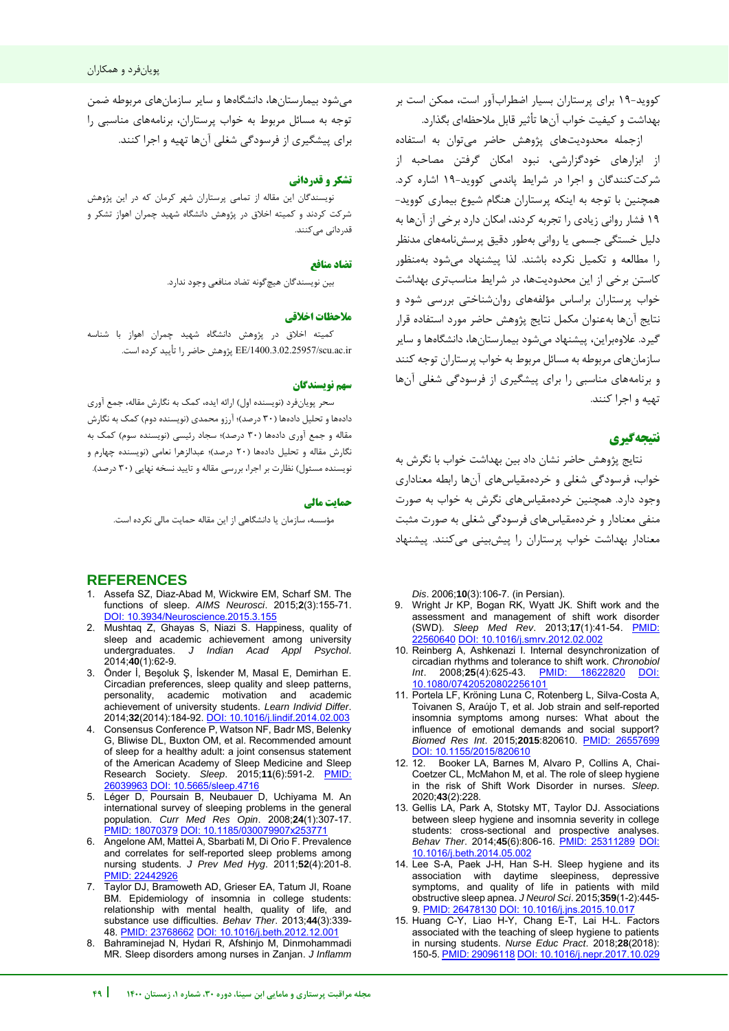میشود بیمارستانها، دانشگاهها و سایر سازمانهای مربوطه ضمن توجه به مسائل مربوط به خواب پرستاران، برنامههای مناسبی را برای پیشگیری از فرسودگی شغلی آنها تهیه و اجرا کنند.

# **تشکر و قدردانی**

نویسندگان این مقاله از تمامی پرستاران شهر کرمان که در این پژوهش شرکت کردند و کمیته اخالق در پژوهش دانشگاه شهید چمران اهواز تشکر و قدر دانی می کنند.

## **منافع تضاد**

بین نویسندگان هیچگونه تضاد منافعی وجود ندارد.

## **یاخالق مالحظات**

کمیته اخالق در پژوهش دانشگاه شهید چمران اهواز با شناسه ir.ac.scu/1400.3.02.25957/EE پژوهش حاضر را تأیید کرده است.

### **سهم نو سندگانی**

سحر پویانفرد )نویسنده اول( ارائه ایده، کمک به نگارش مقاله، جمع آوری دادهها و تحلیل دادهها (۳۰ درصد)؛ آرزو محمدی (نویسنده دوم) کمک به نگارش مقاله و جمع آوری دادهها (۳۰ درصد)؛ سجاد رئیسی (نویسنده سوم) کمک به نگارش مقاله و تحلیل دادهها (۲۰ درصد)؛ عبدالزهرا نعامی (نویسنده چهارم و نویسنده مسئول) نظارت بر اجرا، بررسی مقاله و تایید نسخه نهایی (۳۰ درصد).

#### <span id="page-7-0"></span>**حمایت مالی**

مؤسسه، سازمان یا دانشگاهی از این مقاله حمایت مالی نکرده است.

# **REFERENCES**

- 1. Assefa SZ, Diaz-Abad M, Wickwire EM, Scharf SM. The functions of sleep. *AIMS Neurosci*. 2015;**2**(3):155-71. [DOI: 10.3934/Neuroscience.2015.3.155](https://doi.org/10.3934/Neuroscience.2015.3.155)
- 2. Mushtaq Z, Ghayas S, Niazi S. Happiness, quality of sleep and academic achievement among university<br>undergraduates. J Indian Acad Appl Psychol. J Indian Acad Appl 2014;**40**(1):62-9.
- <span id="page-7-1"></span>3. Önder İ, Beşoluk Ş, İskender M, Masal E, Demirhan E. Circadian preferences, sleep quality and sleep patterns, personality, academic motivation and academic achievement of university students. *Learn Individ Differ*. 2014;**32**(2014):184-92[. DOI: 10.1016/j.lindif.2014.02.003](https://doi.org/10.1016/j.lindif.2014.02.003)
- <span id="page-7-2"></span>4. Consensus Conference P, Watson NF, Badr MS, Belenky G, Bliwise DL, Buxton OM, et al. Recommended amount of sleep for a healthy adult: a joint consensus statement of the American Academy of Sleep Medicine and Sleep Research Society. *Sleep*. 2015;**11**(6):591-2. [PMID:](https://www.ncbi.nlm.nih.gov/pubmed/26039963)  [26039963](https://www.ncbi.nlm.nih.gov/pubmed/26039963) [DOI: 10.5665/sleep.4716](https://dx.doi.org/10.5665%2Fsleep.4716)
- <span id="page-7-3"></span>5. Léger D, Poursain B, Neubauer D, Uchiyama M. An international survey of sleeping problems in the general population. *Curr Med Res Opin*. 2008;**24**(1):307-17. [PMID: 18070379](https://pubmed.ncbi.nlm.nih.gov/18070379/) [DOI: 10.1185/030079907x253771](https://doi.org/10.1185/030079907x253771)
- <span id="page-7-5"></span>6. Angelone AM, Mattei A, Sbarbati M, Di Orio F. Prevalence and correlates for self-reported sleep problems among nursing students. *J Prev Med Hyg*. 2011;**52**(4):201-8. [PMID: 22442926](https://pubmed.ncbi.nlm.nih.gov/22442926/)
- <span id="page-7-4"></span>7. Taylor DJ, Bramoweth AD, Grieser EA, Tatum JI, Roane BM. Epidemiology of insomnia in college students: relationship with mental health, quality of life, and substance use difficulties. *Behav Ther*. 2013;**44**(3):339- 48[. PMID: 23768662](https://pubmed.ncbi.nlm.nih.gov/23768662/) [DOI: 10.1016/j.beth.2012.12.001](https://doi.org/10.1016/j.beth.2012.12.001)
- <span id="page-7-6"></span>8. Bahraminejad N, Hydari R, Afshinjo M, Dinmohammadi MR. Sleep disorders among nurses in Zanjan. *J Inflamm*

-کووید 19 برای پرستاران بسیار اضطرابآور است، ممکن است بر بهداشت و کیفیت خواب آنها تأثیر قابل مالحظهای بگذارد.

ازجمله محدودیتهای پژوهش حاضر میتوان به استفاده از ابزارهای خودگزارشی، نبود امکان گرفتن مصاحبه از شرکتکنندگان و اجرا در شرایط پاندمی کووید19- اشاره کرد. همچنین با توجه به اینکه پرستاران هنگام شیوع بیماری کووید- 19 فشار روانی زیادی را تجربه کردند، امکان دارد برخی از آنها به دلیل خستگی جسمی یا روانی بهطور دقیق پرسشنامههای مدنظر را مطالعه و تکمیل نکرده باشند. لذا پیشنهاد میشود بهمنظور کاستن برخی از این محدودیتها، در شرایط مناسبتری بهداشت خواب پرستاران براساس مؤلفههای روانشناختی بررسی شود و نتایج آنها بهعنوان مکمل نتایج پژوهش حاضر مورد استفاده قرار گیرد. عالوهبراین، پیشنهاد میشود بیمارستانها، دانشگاهها و سایر سازمانهای مربوطه به مسائل مربوط به خواب پرستاران توجه کنند و برنامههای مناسبی را برای پیشگیری از فرسودگی شغلی آنها تهیه و اجرا کنند.

# **نتیجهگیری**

j

نتایج پژوهش حاضر نشان داد بین بهداشت خو اب با نگرش به خواب، فرسودگی شغلی و خرده های آنمقیاس ها رابطه معناداری وجود دارد. همچنین خردهمقیاسهای نگرش به خواب به صورت منفی معنادار و خردهمقیاسهای فرسودگی شغلی به صورت مثبت معنادار بهداشت خواب پرستاران را پیشبینی می کنند. پیشنهاد

*Dis*. 2006;**10**(3):106-7. (in Persian).

- <span id="page-7-7"></span>9. Wright Jr KP, Bogan RK, Wyatt JK. Shift work and the assessment and management of shift work disorder (SWD). *Sleep Med Rev*. 2013;**17**(1):41-54. [PMID:](https://pubmed.ncbi.nlm.nih.gov/22560640/)  [22560640](https://pubmed.ncbi.nlm.nih.gov/22560640/) [DOI: 10.1016/j.smrv.2012.02.002](https://doi.org/10.1016/j.smrv.2012.02.002)
- <span id="page-7-8"></span>10. Reinberg A, Ashkenazi I. Internal desynchronization of circadian rhythms and tolerance to shift work. *Chronobiol Int*. 2008;**25**(4):625-43. [PMID: 18622820](https://pubmed.ncbi.nlm.nih.gov/18622820/) [DOI:](https://doi.org/10.1080/07420520802256101)  [10.1080/07420520802256101](https://doi.org/10.1080/07420520802256101)
- <span id="page-7-9"></span>11. Portela LF, Kröning Luna C, Rotenberg L, Silva-Costa A, Toivanen S, Araújo T, et al. Job strain and self-reported insomnia symptoms among nurses: What about the influence of emotional demands and social support? *Biomed Res Int*. 2015;**2015**:820610. [PMID: 26557699](https://pubmed.ncbi.nlm.nih.gov/26557699/) [DOI: 10.1155/2015/820610](https://doi.org/10.1155/2015/820610)<br>12 12 Booker LA Barnes I
- <span id="page-7-10"></span>Booker LA, Barnes M, Alvaro P, Collins A, Chai-Coetzer CL, McMahon M, et al. The role of sleep hygiene in the risk of Shift Work Disorder in nurses. *Sleep*. 2020;**43**(2):228.
- <span id="page-7-12"></span>13. Gellis LA, Park A, Stotsky MT, Taylor DJ. Associations between sleep hygiene and insomnia severity in college students: cross-sectional and prospective analyses. *Behav Ther*. 2014;**45**(6):806-16. [PMID: 25311289](https://pubmed.ncbi.nlm.nih.gov/25311289/) [DOI:](https://doi.org/10.1016/j.beth.2014.05.002)  [10.1016/j.beth.2014.05.002](https://doi.org/10.1016/j.beth.2014.05.002)
- <span id="page-7-11"></span>14. Lee S-A, Paek J-H, Han S-H. Sleep hygiene and its association with daytime sleepiness, depressive symptoms, and quality of life in patients with mild obstructive sleep apnea. *J Neurol Sci*. 2015;**359**(1-2):445- 9[. PMID: 26478130](https://pubmed.ncbi.nlm.nih.gov/26478130/#:~:text=Conclusions%3A%20Sleep%20hygiene%20is%20indirectly,quality%20in%20mild%20OSA%20patients.) [DOI: 10.1016/j.jns.2015.10.017](https://doi.org/10.1016/j.jns.2015.10.017)
- <span id="page-7-13"></span>15. Huang C-Y, Liao H-Y, Chang E-T, Lai H-L. Factors associated with the teaching of sleep hygiene to patients in nursing students. *Nurse Educ Pract*. 2018;**28**(2018): 150-5[. PMID: 29096118](https://pubmed.ncbi.nlm.nih.gov/29096118/#:~:text=Sleep%20quality%2C%20sleep%20knowledge%2C%20and%20attitudes%20toward%20sleep%20hygiene%20were,teaching%20patients%20about%20sleep%20hygiene.) [DOI: 10.1016/j.nepr.2017.10.029](https://doi.org/10.1016/j.nepr.2017.10.029)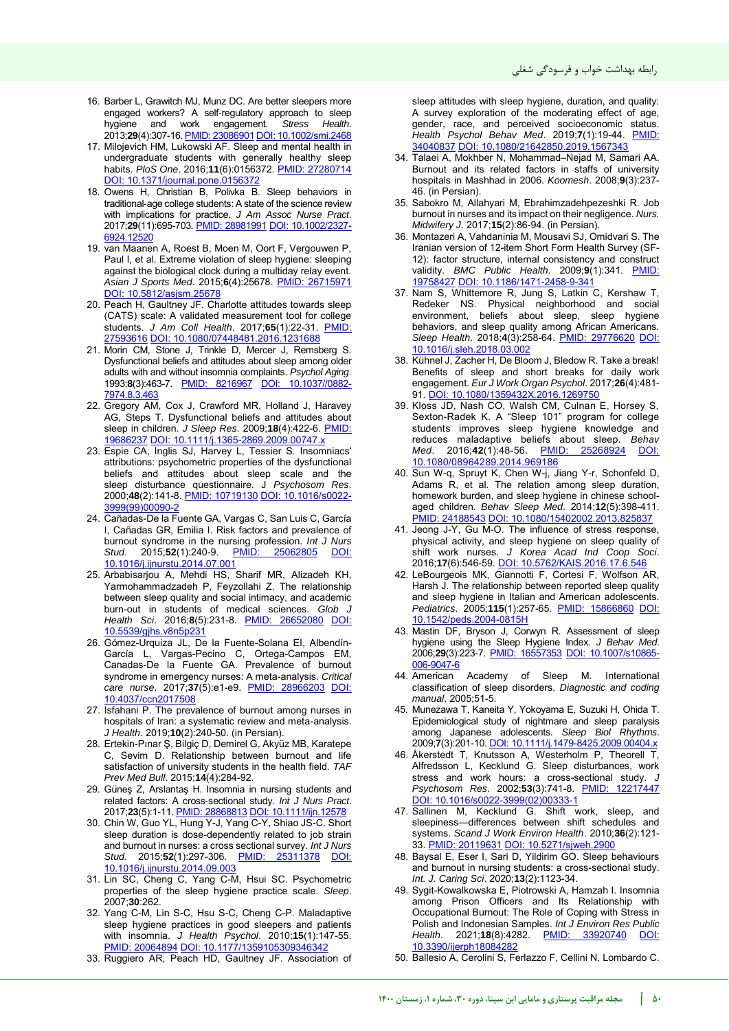- <span id="page-8-0"></span>16. Barber L, Grawitch MJ, Munz DC. Are better sleepers more engaged workers? A self-regulatory approach to sleep<br>hygiene and work engagement. Stress Health. hygiene and work engagement. 2013;**29**(4):307-16[. PMID: 23086901](https://pubmed.ncbi.nlm.nih.gov/23086901/#:~:text=Results%20indicated%20that%20individuals%20who,were%20less%20engaged%20at%20work.) [DOI: 10.1002/smi.2468](https://doi.org/10.1002/smi.2468)
- <span id="page-8-1"></span>17. Milojevich HM, Lukowski AF. Sleep and mental health in undergraduate students with generally healthy sleep habits. *PloS One*. 2016;**11**(6):0156372. [PMID: 27280714](https://pubmed.ncbi.nlm.nih.gov/27280714/) [DOI: 10.1371/journal.pone.0156372](https://doi.org/10.1371/journal.pone.0156372)
- <span id="page-8-2"></span>18. Owens H, Christian B, Polivka B. Sleep behaviors in traditional‐age college students: A state of the science review with implications for practice. *J Am Assoc Nurse Pract*. 2017;**29**(11):695-703[. PMID: 28981991](https://pubmed.ncbi.nlm.nih.gov/28981991/) [DOI: 10.1002/2327-](https://doi.org/10.1002/2327-6924.12520) [6924.12520](https://doi.org/10.1002/2327-6924.12520)
- <span id="page-8-3"></span>19. van Maanen A, Roest B, Moen M, Oort F, Vergouwen P, Paul I, et al. Extreme violation of sleep hygiene: sleeping against the biological clock during a multiday relay event. *Asian J Sports Med*. 2015;**6**(4):25678. [PMID: 26715971](https://pubmed.ncbi.nlm.nih.gov/26715971/) DOI: 10.5812/asjsm.2567
- <span id="page-8-4"></span>20. Peach H, Gaultney JF. Charlotte attitudes towards sleep (CATS) scale: A validated measurement tool for college students. *J Am Coll Health*. 2017;**65**(1):22-31. [PMID:](https://pubmed.ncbi.nlm.nih.gov/27593616/)  [27593616](https://pubmed.ncbi.nlm.nih.gov/27593616/) [DOI: 10.1080/07448481.2016.1231688](https://doi.org/10.1080/07448481.2016.1231688)
- <span id="page-8-5"></span>21. Morin CM, Stone J, Trinkle D, Mercer J, Remsberg S. Dysfunctional beliefs and attitudes about sleep among older adults with and without insomnia complaints. *Psychol Aging*. 1993;**8**(3):463-7. [PMID: 8216967](https://pubmed.ncbi.nlm.nih.gov/8216967/) [DOI: 10.1037//0882-](https://doi.org/10.1037/0882-7974.8.3.463) [7974.8.3.463](https://doi.org/10.1037/0882-7974.8.3.463)
- <span id="page-8-6"></span>22. Gregory AM, Cox J, Crawford MR, Holland J, Haravey AG, Steps T. Dysfunctional beliefs and attitudes about sleep in children. *J Sleep Res*. 2009;**18**(4):422-6. [PMID:](https://pubmed.ncbi.nlm.nih.gov/19686237/#:~:text=Some%20dysfunctional%20beliefs%20about%20sleep,score%20and%20SSR%20insomnia%20items.)  [19686237](https://pubmed.ncbi.nlm.nih.gov/19686237/#:~:text=Some%20dysfunctional%20beliefs%20about%20sleep,score%20and%20SSR%20insomnia%20items.) [DOI: 10.1111/j.1365-2869.2009.00747.x](https://doi.org/10.1111/j.1365-2869.2009.00747.x)
- <span id="page-8-7"></span>23. Espie CA, Inglis SJ, Harvey L, Tessier S. Insomniacs' attributions: psychometric properties of the dysfunctional beliefs and attitudes about sleep scale and the sleep disturbance questionnaire. J *Psychosom Res*. 2000;**48**(2):141-8. [PMID: 10719130](https://pubmed.ncbi.nlm.nih.gov/10719130/) [DOI: 10.1016/s0022-](https://doi.org/10.1016/s0022-3999(99)00090-2) [3999\(99\)00090-2](https://doi.org/10.1016/s0022-3999(99)00090-2)
- <span id="page-8-9"></span>24. Cañadas-De la Fuente GA, Vargas C, San Luis C, García I, Cañadas GR, Emilia I. Risk factors and prevalence of burnout syndrome in the nursing profession. *Int J Nurs Stud.* 2015;52(1):240-9. PMID: [10.1016/j.ijnurstu.2014.07.001](https://doi.org/10.1016/j.ijnurstu.2014.07.001)
- <span id="page-8-8"></span>25. Arbabisarjou A, Mehdi HS, Sharif MR, Alizadeh KH, Yarmohammadzadeh P, Feyzollahi Z. The relationship between sleep quality and social intimacy, and academic burn-out in students of medical sciences. *Glob J Health Sci*. 2016;**8**(5):231-8. [PMID: 26652080](https://pubmed.ncbi.nlm.nih.gov/26652080/#:~:text=There%20was%20a%20negative%20and,39%25%20of%20academic%20burnout%20respectively.) [DOI:](https://doi.org/10.5539/gjhs.v8n5p231)  [10.5539/gjhs.v8n5p231](https://doi.org/10.5539/gjhs.v8n5p231)
- <span id="page-8-10"></span>26. Gómez-Urquiza JL, De la Fuente-Solana EI, Albendín-García L, Vargas-Pecino C, Ortega-Campos EM, Canadas-De la Fuente GA. Prevalence of burnout syndrome in emergency nurses: A meta-analysis. *Critical care nurse*. 2017;**37**(5):e1-e9. [PMID: 28966203](https://pubmed.ncbi.nlm.nih.gov/28966203/#:~:text=The%20estimated%20prevalence%20of%20each,44)%20for%20low%20Personal%20Accomplishment.) [DOI:](https://doi.org/10.4037/ccn2017508)  [10.4037/ccn2017508](https://doi.org/10.4037/ccn2017508)
- <span id="page-8-11"></span>27. Isfahani P. The prevalence of burnout among nurses in hospitals of Iran: a systematic review and meta-analysis. *J Health*. 2019;**10**(2):240-50. (in Persian).
- <span id="page-8-12"></span>28. Ertekin-Pınar Ş, Bilgiç D, Demirel G, Akyüz MB, Karatepe C, Sevim D. Relationship between burnout and life satisfaction of university students in the health field. *TAF Prev Med Bull*. 2015;**14**(4):284-92.
- <span id="page-8-13"></span>29. Güneş Z, Arslantaş H. Insomnia in nursing students and related factors: A cross‐sectional study. *Int J Nurs Pract*. 2017;**23**(5):1-11[. PMID: 28868813](https://pubmed.ncbi.nlm.nih.gov/28868813/) [DOI: 10.1111/ijn.12578](https://doi.org/10.1111/ijn.12578)
- <span id="page-8-14"></span>30. Chin W, Guo YL, Hung Y-J, Yang C-Y, Shiao JS-C. Short sleep duration is dose-dependently related to job strain and burnout in nurses: a cross sectional survey. *Int J Nurs Stud*. 2015;**52**(1):297-306. [PMID: 25311378](https://pubmed.ncbi.nlm.nih.gov/25311378/) [DOI:](https://doi.org/10.1016/j.ijnurstu.2014.09.003)  [10.1016/j.ijnurstu.2014.09.003](https://doi.org/10.1016/j.ijnurstu.2014.09.003)
- <span id="page-8-15"></span>31. Lin SC, Cheng C, Yang C-M, Hsui SC. Psychometric properties of the sleep hygiene practice scale. *Sleep*. 2007;**30**:262.
- <span id="page-8-16"></span>32. Yang C-M, Lin S-C, Hsu S-C, Cheng C-P. Maladaptive sleep hygiene practices in good sleepers and patients with insomnia. *J Health Psychol*. 2010;**15**(1):147-55. **[PMID: 20064894](https://pubmed.ncbi.nlm.nih.gov/20064894/) DOI: 10.1177/1359**
- <span id="page-8-17"></span>33. Ruggiero AR, Peach HD, Gaultney JF. Association of

sleep attitudes with sleep hygiene, duration, and quality: A survey exploration of the moderating effect of age, gender, race, and perceived socioeconomic status. *Health Psychol Behav Med*. 2019;**7**(1):19-44. [PMID:](https://pubmed.ncbi.nlm.nih.gov/34040837/)  [34040837](https://pubmed.ncbi.nlm.nih.gov/34040837/) [DOI: 10.1080/21642850.2019.1567343](https://doi.org/10.1080/21642850.2019.1567343)

- <span id="page-8-18"></span>34. Talaei A, Mokhber N, Mohammad–Nejad M, Samari AA. Burnout and its related factors in staffs of university hospitals in Mashhad in 2006. *Koomesh*. 2008;**9**(3):237- 46. (in Persian).
- <span id="page-8-19"></span>35. Sabokro M, Allahyari M, Ebrahimzadehpezeshki R. Job burnout in nurses and its impact on their negligence. *Nurs. Midwifery J*. 2017;**15**(2):86-94. (in Persian).
- <span id="page-8-20"></span>36. Montazeri A, Vahdaninia M, Mousavi SJ, Omidvari S. The Iranian version of 12-item Short Form Health Survey (SF-12): factor structure, internal consistency and construct validity. *BMC Public Health*. 2009;**9**(1):341. [PMID:](https://pubmed.ncbi.nlm.nih.gov/19758427/)  [19758427](https://pubmed.ncbi.nlm.nih.gov/19758427/) [DOI: 10.1186/1471-2458-9-341](https://doi.org/10.1186/1471-2458-9-341)
- <span id="page-8-21"></span>37. Nam S, Whittemore R, Jung S, Latkin C, Kershaw T, Redeker NS. Physical neighborhood and social environment, beliefs about sleep, sleep hygiene behaviors, and sleep quality among African Americans. *Sleep Health*. 2018;**4**(3):258-64. [PMID: 29776620](https://pubmed.ncbi.nlm.nih.gov/29776620/#:~:text=People%20with%20poor%20sleep%20quality,who%20had%20good%20sleep%20quality.) [DOI:](https://doi.org/10.1016/j.sleh.2018.03.002)  10.1016/j.sleh.2018.03
- 38. Kühnel J, Zacher H, De Bloom J, Bledow R. Take a break! Benefits of sleep and short breaks for daily work engagement. *Eur J Work Organ Psychol*. 2017;**26**(4):481- 91. [DOI: 10.1080/1359432X.2016.1269750](https://doi.org/10.1080/1359432X.2016.1269750)
- 39. Kloss JD, Nash CO, Walsh CM, Culnan E, Horsey S, Sexton-Radek K. A "Sleep 101" program for college students improves sleep hygiene knowledge and reduces maladaptive beliefs about sleep. *Behav Med*. 2016;**42**(1):48-56. [PMID: 25268924](https://pubmed.ncbi.nlm.nih.gov/25268924/) [DOI:](https://doi.org/10.1080/08964289.2014.969186)  [10.1080/08964289.2014.969186](https://doi.org/10.1080/08964289.2014.969186)
- 40. Sun W-q, Spruyt K, Chen W-j, Jiang Y-r, Schonfeld D, Adams R, et al. The relation among sleep duration, homework burden, and sleep hygiene in chinese schoolaged children. *Behav Sleep Med*. 2014;**12**(5):398-411. [PMID: 24188543](https://pubmed.ncbi.nlm.nih.gov/24188543/#:~:text=Children%20with%20more%20homework%20went,sleep%20duration%20than%20sleep%20hygiene.) [DOI: 10.1080/15402002.2013.825837](https://doi.org/10.1080/15402002.2013.825837)
- 41. Jeong J-Y, Gu M-O. The influence of stress response, physical activity, and sleep hygiene on sleep quality of shift work nurses. *J Korea Acad Ind Coop Soci*. 2016;**17**(6):546-59. [DOI: 10.5762/KAIS.2016.17.6.546](https://doi.org/10.5762/KAIS.2016.17.6.546)
- <span id="page-8-22"></span>42. LeBourgeois MK, Giannotti F, Cortesi F, Wolfson AR, Harsh J. The relationship between reported sleep quality and sleep hygiene in Italian and American adolescents. *Pediatrics*. 2005;**115**(1):257-65. [PMID: 15866860](https://pubmed.ncbi.nlm.nih.gov/15866860/#:~:text=Italian%20adolescents%20reported%20much%20better,sleep%20quality%20in%20both%20samples.) [DOI:](https://doi.org/10.1542/peds.2004-0815h)  [10.1542/peds.2004-0815H](https://doi.org/10.1542/peds.2004-0815h)
- <span id="page-8-23"></span>43. Mastin DF, Bryson J, Corwyn R. Assessment of sleep hygiene using the Sleep Hygiene Index. *J Behav Med*. 2006;**29**(3):223-7. [PMID: 16557353](https://pubmed.ncbi.nlm.nih.gov/16557353/) [DOI: 10.1007/s10865-](https://doi.org/10.1007/s10865-006-9047-6) 006-9047
- <span id="page-8-24"></span>44. American Academy of Sleep M. International classification of sleep disorders. *Diagnostic and coding manual*. 2005;51-5.
- <span id="page-8-25"></span>45. Munezawa T, Kaneita Y, Yokoyama E, Suzuki H, Ohida T. Epidemiological study of nightmare and sleep paralysis among Japanese adolescents. *Sleep Biol Rhythms*. 2009;**7**(3):201-10[. DOI: 10.1111/j.1479-8425.2009.00404.x](https://doi.org/10.1111/j.1479-8425.2009.00404.x)
- <span id="page-8-27"></span>46. Åkerstedt T, Knutsson A, Westerholm P, Theorell T, Alfredsson L, Kecklund G. Sleep disturbances, work stress and work hours: a cross-sectional study. *J Psychosom Res*. 2002;**53**(3):741-8. [PMID: 12217447](https://pubmed.ncbi.nlm.nih.gov/12217447/) [DOI: 10.1016/s0022-3999\(02\)00333-1](https://doi.org/10.1016/s0022-3999(02)00333-1)
- <span id="page-8-26"></span>47. Sallinen M, Kecklund G. Shift work, sleep, and sleepiness—differences between shift schedules and systems. *Scand J Work Environ Health*. 2010;**36**(2):121- 33. [PMID: 20119631](https://pubmed.ncbi.nlm.nih.gov/20119631/) [DOI: 10.5271/sjweh.2900](https://doi.org/10.5271/sjweh.2900)
- <span id="page-8-28"></span>48. Baysal E, Eser I, Sari D, Yildirim GO. Sleep behaviours and burnout in nursing students: a cross-sectional study. *Int. J. Caring Sci*. 2020;**13**(2):1123-34.
- <span id="page-8-29"></span>49. Sygit-Kowalkowska E, Piotrowski A, Hamzah I. Insomnia among Prison Officers and Its Relationship with Occupational Burnout: The Role of Coping with Stress in Polish and Indonesian Samples. *Int J Environ Res Public Health*. 2021;**18**(8):4282. [PMID: 33920740](https://pubmed.ncbi.nlm.nih.gov/33920740/) [DOI:](https://doi.org/10.3390/ijerph18084282)  10.3390/ijerph180
- 50. Ballesio A, Cerolini S, Ferlazzo F, Cellini N, Lombardo C.